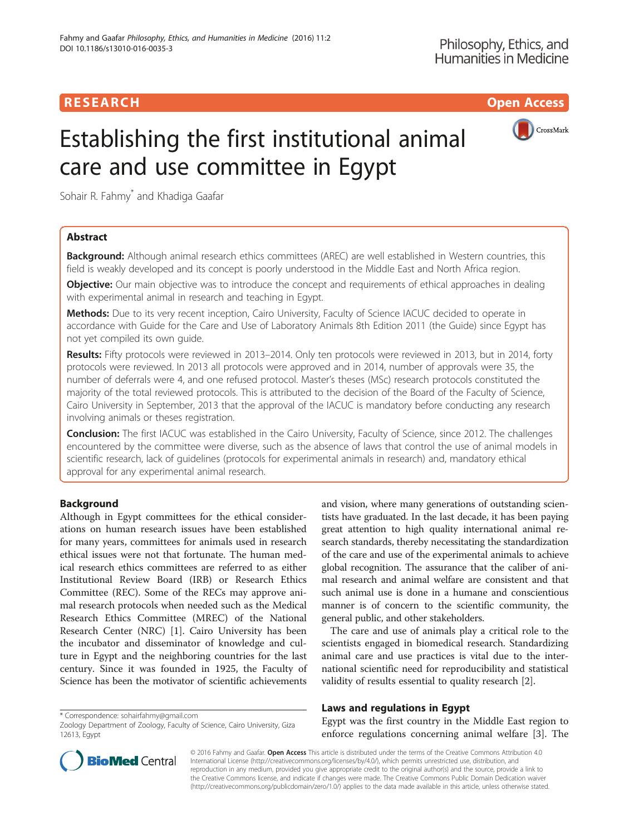# **RESEARCH CHILD CONTROL** CONTROL CONTROL CONTROL CONTROL CONTROL CONTROL CONTROL CONTROL CONTROL CONTROL CONTROL



# Establishing the first institutional animal care and use committee in Egypt

Sohair R. Fahmy<sup>\*</sup> and Khadiga Gaafar

# Abstract

Background: Although animal research ethics committees (AREC) are well established in Western countries, this field is weakly developed and its concept is poorly understood in the Middle East and North Africa region.

**Objective:** Our main objective was to introduce the concept and requirements of ethical approaches in dealing with experimental animal in research and teaching in Egypt.

Methods: Due to its very recent inception, Cairo University, Faculty of Science IACUC decided to operate in accordance with Guide for the Care and Use of Laboratory Animals 8th Edition 2011 (the Guide) since Egypt has not yet compiled its own guide.

Results: Fifty protocols were reviewed in 2013–2014. Only ten protocols were reviewed in 2013, but in 2014, forty protocols were reviewed. In 2013 all protocols were approved and in 2014, number of approvals were 35, the number of deferrals were 4, and one refused protocol. Master's theses (MSc) research protocols constituted the majority of the total reviewed protocols. This is attributed to the decision of the Board of the Faculty of Science, Cairo University in September, 2013 that the approval of the IACUC is mandatory before conducting any research involving animals or theses registration.

Conclusion: The first IACUC was established in the Cairo University, Faculty of Science, since 2012. The challenges encountered by the committee were diverse, such as the absence of laws that control the use of animal models in scientific research, lack of guidelines (protocols for experimental animals in research) and, mandatory ethical approval for any experimental animal research.

# Background

Although in Egypt committees for the ethical considerations on human research issues have been established for many years, committees for animals used in research ethical issues were not that fortunate. The human medical research ethics committees are referred to as either Institutional Review Board (IRB) or Research Ethics Committee (REC). Some of the RECs may approve animal research protocols when needed such as the Medical Research Ethics Committee (MREC) of the National Research Center (NRC) [[1\]](#page-5-0). Cairo University has been the incubator and disseminator of knowledge and culture in Egypt and the neighboring countries for the last century. Since it was founded in 1925, the Faculty of Science has been the motivator of scientific achievements

\* Correspondence: [sohairfahmy@gmail.com](mailto:sohairfahmy@gmail.com)

and vision, where many generations of outstanding scientists have graduated. In the last decade, it has been paying great attention to high quality international animal research standards, thereby necessitating the standardization of the care and use of the experimental animals to achieve global recognition. The assurance that the caliber of animal research and animal welfare are consistent and that such animal use is done in a humane and conscientious manner is of concern to the scientific community, the general public, and other stakeholders.

The care and use of animals play a critical role to the scientists engaged in biomedical research. Standardizing animal care and use practices is vital due to the international scientific need for reproducibility and statistical validity of results essential to quality research [\[2\]](#page-5-0).

# Laws and regulations in Egypt

Egypt was the first country in the Middle East region to enforce regulations concerning animal welfare [[3\]](#page-5-0). The



© 2016 Fahmy and Gaafar. Open Access This article is distributed under the terms of the Creative Commons Attribution 4.0 International License [\(http://creativecommons.org/licenses/by/4.0/](http://creativecommons.org/licenses/by/4.0/)), which permits unrestricted use, distribution, and reproduction in any medium, provided you give appropriate credit to the original author(s) and the source, provide a link to the Creative Commons license, and indicate if changes were made. The Creative Commons Public Domain Dedication waiver [\(http://creativecommons.org/publicdomain/zero/1.0/](http://creativecommons.org/publicdomain/zero/1.0/)) applies to the data made available in this article, unless otherwise stated.

Zoology Department of Zoology, Faculty of Science, Cairo University, Giza 12613, Egypt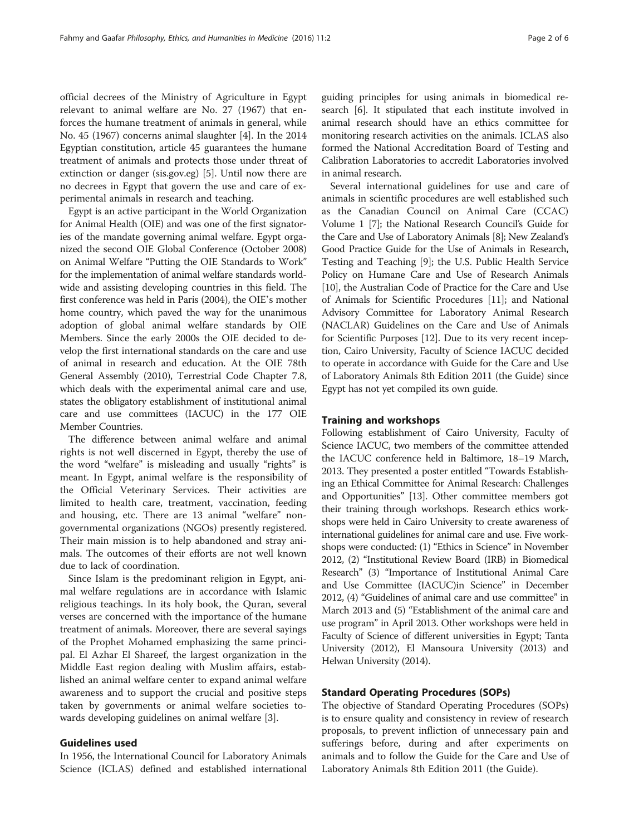official decrees of the Ministry of Agriculture in Egypt relevant to animal welfare are No. 27 (1967) that enforces the humane treatment of animals in general, while No. 45 (1967) concerns animal slaughter [[4\]](#page-5-0). In the 2014 Egyptian constitution, article 45 guarantees the humane treatment of animals and protects those under threat of extinction or danger (sis.gov.eg) [\[5](#page-5-0)]. Until now there are no decrees in Egypt that govern the use and care of experimental animals in research and teaching.

Egypt is an active participant in the World Organization for Animal Health (OIE) and was one of the first signatories of the mandate governing animal welfare. Egypt organized the second OIE Global Conference (October 2008) on Animal Welfare "Putting the OIE Standards to Work" for the implementation of animal welfare standards worldwide and assisting developing countries in this field. The first conference was held in Paris (2004), the OIE's mother home country, which paved the way for the unanimous adoption of global animal welfare standards by OIE Members. Since the early 2000s the OIE decided to develop the first international standards on the care and use of animal in research and education. At the OIE 78th General Assembly (2010), Terrestrial Code Chapter 7.8, which deals with the experimental animal care and use, states the obligatory establishment of institutional animal care and use committees (IACUC) in the 177 OIE Member Countries.

The difference between animal welfare and animal rights is not well discerned in Egypt, thereby the use of the word "welfare" is misleading and usually "rights" is meant. In Egypt, animal welfare is the responsibility of the Official Veterinary Services. Their activities are limited to health care, treatment, vaccination, feeding and housing, etc. There are 13 animal "welfare" nongovernmental organizations (NGOs) presently registered. Their main mission is to help abandoned and stray animals. The outcomes of their efforts are not well known due to lack of coordination.

Since Islam is the predominant religion in Egypt, animal welfare regulations are in accordance with Islamic religious teachings. In its holy book, the Quran, several verses are concerned with the importance of the humane treatment of animals. Moreover, there are several sayings of the Prophet Mohamed emphasizing the same principal. El Azhar El Shareef, the largest organization in the Middle East region dealing with Muslim affairs, established an animal welfare center to expand animal welfare awareness and to support the crucial and positive steps taken by governments or animal welfare societies towards developing guidelines on animal welfare [[3\]](#page-5-0).

### Guidelines used

In 1956, the International Council for Laboratory Animals Science (ICLAS) defined and established international guiding principles for using animals in biomedical research [[6](#page-5-0)]. It stipulated that each institute involved in animal research should have an ethics committee for monitoring research activities on the animals. ICLAS also formed the National Accreditation Board of Testing and Calibration Laboratories to accredit Laboratories involved in animal research.

Several international guidelines for use and care of animals in scientific procedures are well established such as the Canadian Council on Animal Care (CCAC) Volume 1 [\[7\]](#page-5-0); the National Research Council's Guide for the Care and Use of Laboratory Animals [\[8](#page-5-0)]; New Zealand's Good Practice Guide for the Use of Animals in Research, Testing and Teaching [[9\]](#page-5-0); the U.S. Public Health Service Policy on Humane Care and Use of Research Animals [[10](#page-5-0)], the Australian Code of Practice for the Care and Use of Animals for Scientific Procedures [\[11\]](#page-5-0); and National Advisory Committee for Laboratory Animal Research (NACLAR) Guidelines on the Care and Use of Animals for Scientific Purposes [\[12\]](#page-5-0). Due to its very recent inception, Cairo University, Faculty of Science IACUC decided to operate in accordance with Guide for the Care and Use of Laboratory Animals 8th Edition 2011 (the Guide) since Egypt has not yet compiled its own guide.

#### Training and workshops

Following establishment of Cairo University, Faculty of Science IACUC, two members of the committee attended the IACUC conference held in Baltimore, 18–19 March, 2013. They presented a poster entitled "Towards Establishing an Ethical Committee for Animal Research: Challenges and Opportunities" [\[13\]](#page-5-0). Other committee members got their training through workshops. Research ethics workshops were held in Cairo University to create awareness of international guidelines for animal care and use. Five workshops were conducted: (1) "Ethics in Science" in November 2012, (2) "Institutional Review Board (IRB) in Biomedical Research" (3) "Importance of Institutional Animal Care and Use Committee (IACUC)in Science" in December 2012, (4) "Guidelines of animal care and use committee" in March 2013 and (5) "Establishment of the animal care and use program" in April 2013. Other workshops were held in Faculty of Science of different universities in Egypt; Tanta University (2012), El Mansoura University (2013) and Helwan University (2014).

# Standard Operating Procedures (SOPs)

The objective of Standard Operating Procedures (SOPs) is to ensure quality and consistency in review of research proposals, to prevent infliction of unnecessary pain and sufferings before, during and after experiments on animals and to follow the Guide for the Care and Use of Laboratory Animals 8th Edition 2011 (the Guide).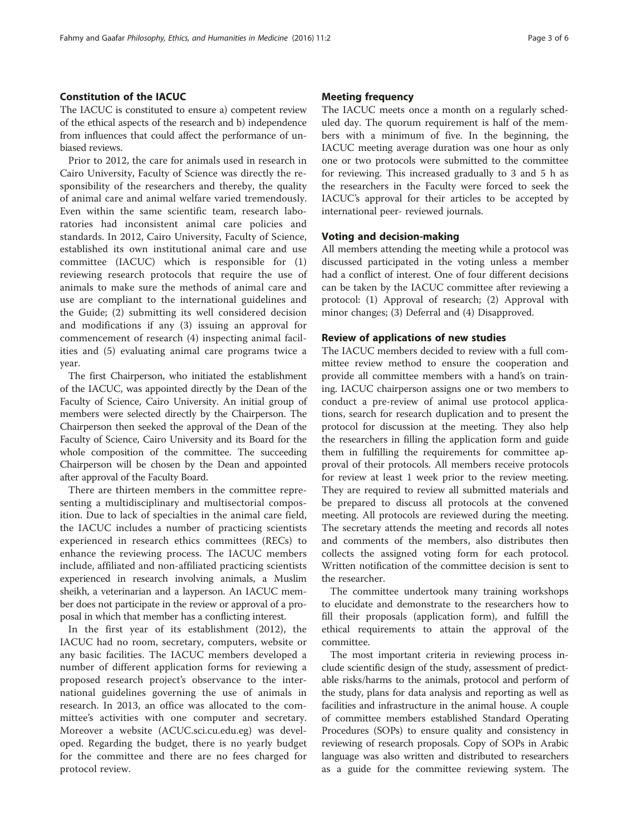### Constitution of the IACUC

The IACUC is constituted to ensure a) competent review of the ethical aspects of the research and b) independence from influences that could affect the performance of unbiased reviews.

Prior to 2012, the care for animals used in research in Cairo University, Faculty of Science was directly the responsibility of the researchers and thereby, the quality of animal care and animal welfare varied tremendously. Even within the same scientific team, research laboratories had inconsistent animal care policies and standards. In 2012, Cairo University, Faculty of Science, established its own institutional animal care and use committee (IACUC) which is responsible for (1) reviewing research protocols that require the use of animals to make sure the methods of animal care and use are compliant to the international guidelines and the Guide; (2) submitting its well considered decision and modifications if any (3) issuing an approval for commencement of research (4) inspecting animal facilities and (5) evaluating animal care programs twice a year.

The first Chairperson, who initiated the establishment of the IACUC, was appointed directly by the Dean of the Faculty of Science, Cairo University. An initial group of members were selected directly by the Chairperson. The Chairperson then seeked the approval of the Dean of the Faculty of Science, Cairo University and its Board for the whole composition of the committee. The succeeding Chairperson will be chosen by the Dean and appointed after approval of the Faculty Board.

There are thirteen members in the committee representing a multidisciplinary and multisectorial composition. Due to lack of specialties in the animal care field, the IACUC includes a number of practicing scientists experienced in research ethics committees (RECs) to enhance the reviewing process. The IACUC members include, affiliated and non-affiliated practicing scientists experienced in research involving animals, a Muslim sheikh, a veterinarian and a layperson. An IACUC member does not participate in the review or approval of a proposal in which that member has a conflicting interest.

In the first year of its establishment (2012), the IACUC had no room, secretary, computers, website or any basic facilities. The IACUC members developed a number of different application forms for reviewing a proposed research project's observance to the international guidelines governing the use of animals in research. In 2013, an office was allocated to the committee's activities with one computer and secretary. Moreover a website (ACUC.sci.cu.edu.eg) was developed. Regarding the budget, there is no yearly budget for the committee and there are no fees charged for protocol review.

#### Meeting frequency

The IACUC meets once a month on a regularly scheduled day. The quorum requirement is half of the members with a minimum of five. In the beginning, the IACUC meeting average duration was one hour as only one or two protocols were submitted to the committee for reviewing. This increased gradually to 3 and 5 h as the researchers in the Faculty were forced to seek the IACUC's approval for their articles to be accepted by international peer- reviewed journals.

#### Voting and decision-making

All members attending the meeting while a protocol was discussed participated in the voting unless a member had a conflict of interest. One of four different decisions can be taken by the IACUC committee after reviewing a protocol: (1) Approval of research; (2) Approval with minor changes; (3) Deferral and (4) Disapproved.

#### Review of applications of new studies

The IACUC members decided to review with a full committee review method to ensure the cooperation and provide all committee members with a hand's on training. IACUC chairperson assigns one or two members to conduct a pre-review of animal use protocol applications, search for research duplication and to present the protocol for discussion at the meeting. They also help the researchers in filling the application form and guide them in fulfilling the requirements for committee approval of their protocols. All members receive protocols for review at least 1 week prior to the review meeting. They are required to review all submitted materials and be prepared to discuss all protocols at the convened meeting. All protocols are reviewed during the meeting. The secretary attends the meeting and records all notes and comments of the members, also distributes then collects the assigned voting form for each protocol. Written notification of the committee decision is sent to the researcher.

The committee undertook many training workshops to elucidate and demonstrate to the researchers how to fill their proposals (application form), and fulfill the ethical requirements to attain the approval of the committee.

The most important criteria in reviewing process include scientific design of the study, assessment of predictable risks/harms to the animals, protocol and perform of the study, plans for data analysis and reporting as well as facilities and infrastructure in the animal house. A couple of committee members established Standard Operating Procedures (SOPs) to ensure quality and consistency in reviewing of research proposals. Copy of SOPs in Arabic language was also written and distributed to researchers as a guide for the committee reviewing system. The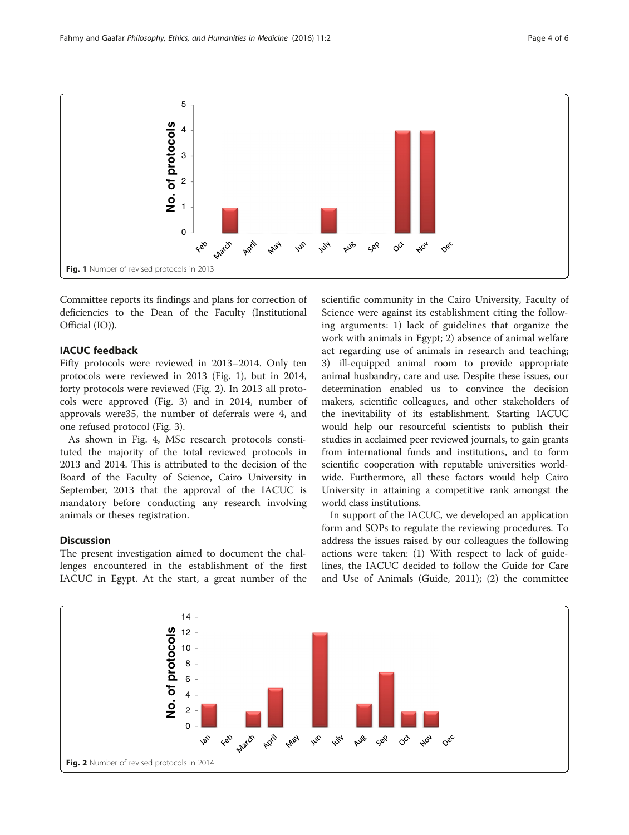

Committee reports its findings and plans for correction of deficiencies to the Dean of the Faculty (Institutional Official (IO)).

### IACUC feedback

Fifty protocols were reviewed in 2013–2014. Only ten protocols were reviewed in 2013 (Fig. 1), but in 2014, forty protocols were reviewed (Fig. 2). In 2013 all protocols were approved (Fig. [3\)](#page-4-0) and in 2014, number of approvals were35, the number of deferrals were 4, and one refused protocol (Fig. [3\)](#page-4-0).

As shown in Fig. [4](#page-4-0), MSc research protocols constituted the majority of the total reviewed protocols in 2013 and 2014. This is attributed to the decision of the Board of the Faculty of Science, Cairo University in September, 2013 that the approval of the IACUC is mandatory before conducting any research involving animals or theses registration.

## **Discussion**

The present investigation aimed to document the challenges encountered in the establishment of the first IACUC in Egypt. At the start, a great number of the

scientific community in the Cairo University, Faculty of Science were against its establishment citing the following arguments: 1) lack of guidelines that organize the work with animals in Egypt; 2) absence of animal welfare act regarding use of animals in research and teaching; 3) ill-equipped animal room to provide appropriate animal husbandry, care and use. Despite these issues, our determination enabled us to convince the decision makers, scientific colleagues, and other stakeholders of the inevitability of its establishment. Starting IACUC would help our resourceful scientists to publish their studies in acclaimed peer reviewed journals, to gain grants from international funds and institutions, and to form scientific cooperation with reputable universities worldwide. Furthermore, all these factors would help Cairo University in attaining a competitive rank amongst the world class institutions.

In support of the IACUC, we developed an application form and SOPs to regulate the reviewing procedures. To address the issues raised by our colleagues the following actions were taken: (1) With respect to lack of guidelines, the IACUC decided to follow the Guide for Care and Use of Animals (Guide, 2011); (2) the committee

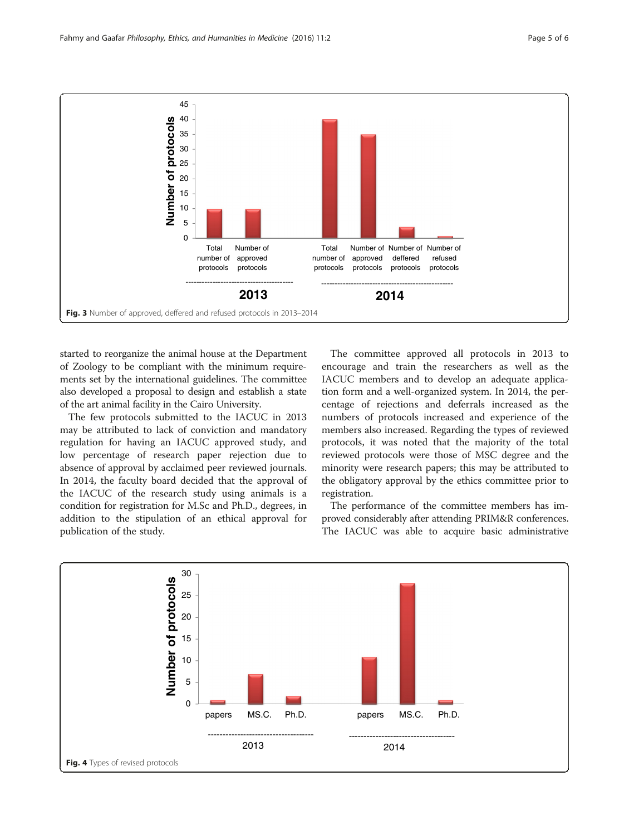<span id="page-4-0"></span>

started to reorganize the animal house at the Department of Zoology to be compliant with the minimum requirements set by the international guidelines. The committee also developed a proposal to design and establish a state of the art animal facility in the Cairo University.

The few protocols submitted to the IACUC in 2013 may be attributed to lack of conviction and mandatory regulation for having an IACUC approved study, and low percentage of research paper rejection due to absence of approval by acclaimed peer reviewed journals. In 2014, the faculty board decided that the approval of the IACUC of the research study using animals is a condition for registration for M.Sc and Ph.D., degrees, in addition to the stipulation of an ethical approval for publication of the study.

The committee approved all protocols in 2013 to encourage and train the researchers as well as the IACUC members and to develop an adequate application form and a well-organized system. In 2014, the percentage of rejections and deferrals increased as the numbers of protocols increased and experience of the members also increased. Regarding the types of reviewed protocols, it was noted that the majority of the total reviewed protocols were those of MSC degree and the minority were research papers; this may be attributed to the obligatory approval by the ethics committee prior to registration.

The performance of the committee members has improved considerably after attending PRIM&R conferences. The IACUC was able to acquire basic administrative